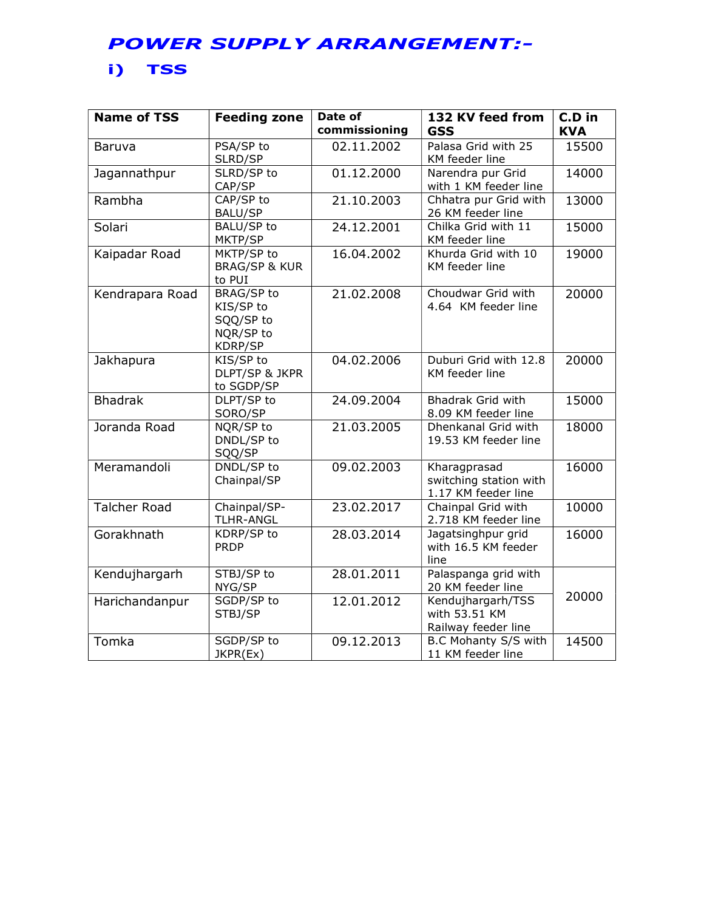## POWER SUPPLY ARRANGEMENT:-

## i) TSS

| <b>Name of TSS</b>  | <b>Feeding zone</b>                                                 | Date of<br>commissioning | 132 KV feed from<br><b>GSS</b>                                | C.D in<br><b>KVA</b> |
|---------------------|---------------------------------------------------------------------|--------------------------|---------------------------------------------------------------|----------------------|
| Baruva              | PSA/SP to<br>SLRD/SP                                                | 02.11.2002               | Palasa Grid with 25<br>KM feeder line                         | 15500                |
| Jagannathpur        | SLRD/SP to<br>CAP/SP                                                | 01.12.2000               | Narendra pur Grid<br>with 1 KM feeder line                    | 14000                |
| Rambha              | CAP/SP to<br><b>BALU/SP</b>                                         | 21.10.2003               | Chhatra pur Grid with<br>26 KM feeder line                    | 13000                |
| Solari              | <b>BALU/SP to</b><br>MKTP/SP                                        | 24.12.2001               | Chilka Grid with 11<br>KM feeder line                         | 15000                |
| Kaipadar Road       | MKTP/SP to<br><b>BRAG/SP &amp; KUR</b><br>to PUI                    | 16.04.2002               | Khurda Grid with 10<br>KM feeder line                         | 19000                |
| Kendrapara Road     | <b>BRAG/SP to</b><br>KIS/SP to<br>SQQ/SP to<br>NQR/SP to<br>KDRP/SP | 21.02.2008               | Choudwar Grid with<br>4.64 KM feeder line                     | 20000                |
| Jakhapura           | KIS/SP to<br>DLPT/SP & JKPR<br>to SGDP/SP                           | 04.02.2006               | Duburi Grid with 12.8<br>KM feeder line                       | 20000                |
| <b>Bhadrak</b>      | DLPT/SP to<br>SORO/SP                                               | 24.09.2004               | Bhadrak Grid with<br>8.09 KM feeder line                      | 15000                |
| Joranda Road        | NQR/SP to<br>DNDL/SP to<br>SQQ/SP                                   | 21.03.2005               | Dhenkanal Grid with<br>19.53 KM feeder line                   | 18000                |
| Meramandoli         | DNDL/SP to<br>Chainpal/SP                                           | 09.02.2003               | Kharagprasad<br>switching station with<br>1.17 KM feeder line | 16000                |
| <b>Talcher Road</b> | Chainpal/SP-<br><b>TLHR-ANGL</b>                                    | 23.02.2017               | Chainpal Grid with<br>2.718 KM feeder line                    | 10000                |
| Gorakhnath          | KDRP/SP to<br><b>PRDP</b>                                           | 28.03.2014               | Jagatsinghpur grid<br>with 16.5 KM feeder<br>line             | 16000                |
| Kendujhargarh       | STBJ/SP to<br>NYG/SP                                                | 28.01.2011               | Palaspanga grid with<br>20 KM feeder line                     |                      |
| Harichandanpur      | SGDP/SP to<br>STBJ/SP                                               | 12.01.2012               | Kendujhargarh/TSS<br>with 53.51 KM<br>Railway feeder line     | 20000                |
| Tomka               | SGDP/SP to<br>JKPR(Ex)                                              | 09.12.2013               | B.C Mohanty S/S with<br>11 KM feeder line                     | 14500                |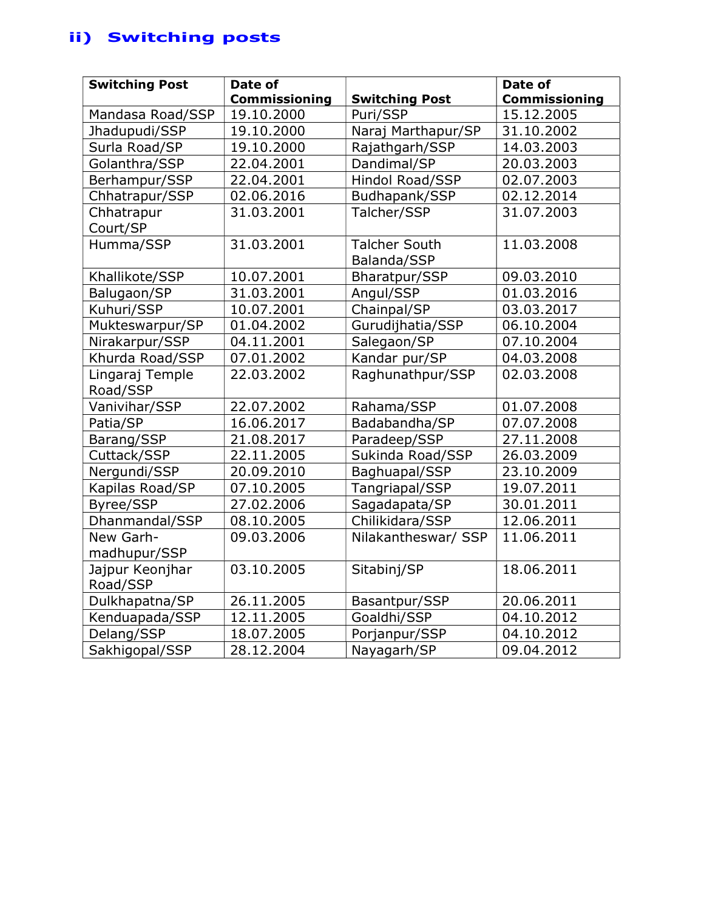# ii) Switching posts

| <b>Switching Post</b>       | Date of       |                                     | Date of              |
|-----------------------------|---------------|-------------------------------------|----------------------|
|                             | Commissioning | <b>Switching Post</b>               | <b>Commissioning</b> |
| Mandasa Road/SSP            | 19.10.2000    | Puri/SSP                            | 15.12.2005           |
| Jhadupudi/SSP               | 19.10.2000    | Naraj Marthapur/SP                  | 31.10.2002           |
| Surla Road/SP               | 19.10.2000    | Rajathgarh/SSP                      | 14.03.2003           |
| Golanthra/SSP               | 22.04.2001    | Dandimal/SP                         | 20.03.2003           |
| Berhampur/SSP               | 22.04.2001    | Hindol Road/SSP                     | 02.07.2003           |
| Chhatrapur/SSP              | 02.06.2016    | Budhapank/SSP                       | 02.12.2014           |
| Chhatrapur<br>Court/SP      | 31.03.2001    | Talcher/SSP                         | 31.07.2003           |
| Humma/SSP                   | 31.03.2001    | <b>Talcher South</b><br>Balanda/SSP | 11.03.2008           |
| Khallikote/SSP              | 10.07.2001    | Bharatpur/SSP                       | 09.03.2010           |
| Balugaon/SP                 | 31.03.2001    | Angul/SSP                           | 01.03.2016           |
| Kuhuri/SSP                  | 10.07.2001    | Chainpal/SP                         | 03.03.2017           |
| Mukteswarpur/SP             | 01.04.2002    | Gurudijhatia/SSP                    | 06.10.2004           |
| Nirakarpur/SSP              | 04.11.2001    | Salegaon/SP                         | 07.10.2004           |
| Khurda Road/SSP             | 07.01.2002    | Kandar pur/SP                       | 04.03.2008           |
| Lingaraj Temple<br>Road/SSP | 22.03.2002    | Raghunathpur/SSP                    | 02.03.2008           |
| Vanivihar/SSP               | 22.07.2002    | Rahama/SSP                          | 01.07.2008           |
| Patia/SP                    | 16.06.2017    | Badabandha/SP                       | 07.07.2008           |
| Barang/SSP                  | 21.08.2017    | Paradeep/SSP                        | 27.11.2008           |
| Cuttack/SSP                 | 22.11.2005    | Sukinda Road/SSP                    | 26.03.2009           |
| Nergundi/SSP                | 20.09.2010    | Baghuapal/SSP                       | 23.10.2009           |
| Kapilas Road/SP             | 07.10.2005    | Tangriapal/SSP                      | 19.07.2011           |
| Byree/SSP                   | 27.02.2006    | Sagadapata/SP                       | 30.01.2011           |
| Dhanmandal/SSP              | 08.10.2005    | Chilikidara/SSP                     | 12.06.2011           |
| New Garh-<br>madhupur/SSP   | 09.03.2006    | Nilakantheswar/ SSP                 | 11.06.2011           |
| Jajpur Keonjhar<br>Road/SSP | 03.10.2005    | Sitabinj/SP                         | 18.06.2011           |
| Dulkhapatna/SP              | 26.11.2005    | Basantpur/SSP                       | 20.06.2011           |
| Kenduapada/SSP              | 12.11.2005    | Goaldhi/SSP                         | 04.10.2012           |
| Delang/SSP                  | 18.07.2005    | Porjanpur/SSP                       | 04.10.2012           |
| Sakhigopal/SSP              | 28.12.2004    | Nayagarh/SP                         | 09.04.2012           |